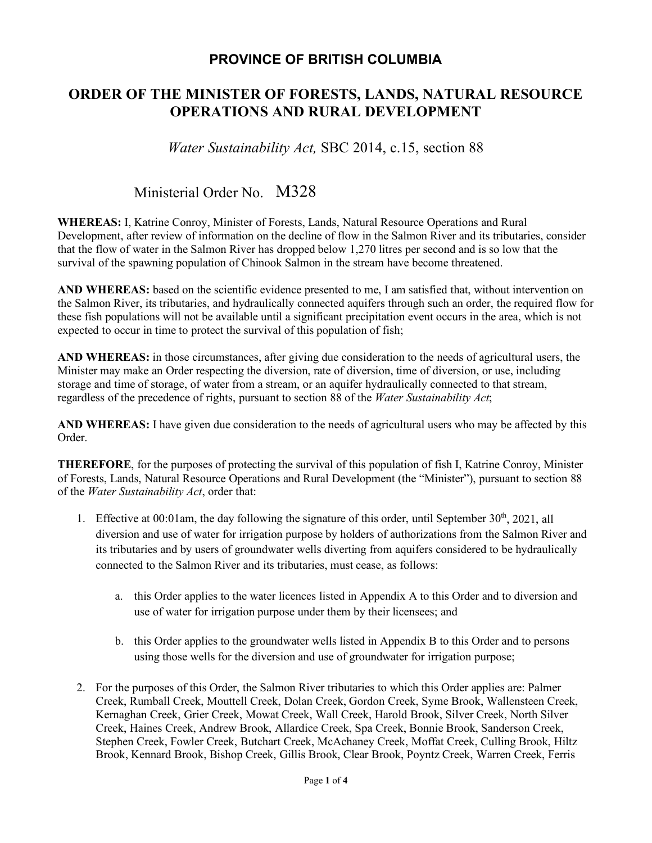### **PROVINCE OF BRITISH COLUMBIA**

## **ORDER OF THE MINISTER OF FORESTS, LANDS, NATURAL RESOURCE OPERATIONS AND RURAL DEVELOPMENT**

*Water Sustainability Act,* SBC 2014, c.15, section 88

# Ministerial Order No. M328

**WHEREAS:** I, Katrine Conroy, Minister of Forests, Lands, Natural Resource Operations and Rural Development, after review of information on the decline of flow in the Salmon River and its tributaries, consider that the flow of water in the Salmon River has dropped below 1,270 litres per second and is so low that the survival of the spawning population of Chinook Salmon in the stream have become threatened.

**AND WHEREAS:** based on the scientific evidence presented to me, I am satisfied that, without intervention on the Salmon River, its tributaries, and hydraulically connected aquifers through such an order, the required flow for these fish populations will not be available until a significant precipitation event occurs in the area, which is not expected to occur in time to protect the survival of this population of fish;

**AND WHEREAS:** in those circumstances, after giving due consideration to the needs of agricultural users, the Minister may make an Order respecting the diversion, rate of diversion, time of diversion, or use, including storage and time of storage, of water from a stream, or an aquifer hydraulically connected to that stream, regardless of the precedence of rights, pursuant to section 88 of the *Water Sustainability Act*;

**AND WHEREAS:** I have given due consideration to the needs of agricultural users who may be affected by this Order.

**THEREFORE**, for the purposes of protecting the survival of this population of fish I, Katrine Conroy, Minister of Forests, Lands, Natural Resource Operations and Rural Development (the "Minister"), pursuant to section 88 of the *Water Sustainability Act*, order that:

- 1. Effective at 00:01am, the day following the signature of this order, until September  $30<sup>th</sup>$ , 2021, all diversion and use of water for irrigation purpose by holders of authorizations from the Salmon River and its tributaries and by users of groundwater wells diverting from aquifers considered to be hydraulically connected to the Salmon River and its tributaries, must cease, as follows:
	- a. this Order applies to the water licences listed in Appendix A to this Order and to diversion and use of water for irrigation purpose under them by their licensees; and
	- b. this Order applies to the groundwater wells listed in Appendix B to this Order and to persons using those wells for the diversion and use of groundwater for irrigation purpose;
- 2. For the purposes of this Order, the Salmon River tributaries to which this Order applies are: Palmer Creek, Rumball Creek, Mouttell Creek, Dolan Creek, Gordon Creek, Syme Brook, Wallensteen Creek, Kernaghan Creek, Grier Creek, Mowat Creek, Wall Creek, Harold Brook, Silver Creek, North Silver Creek, Haines Creek, Andrew Brook, Allardice Creek, Spa Creek, Bonnie Brook, Sanderson Creek, Stephen Creek, Fowler Creek, Butchart Creek, McAchaney Creek, Moffat Creek, Culling Brook, Hiltz Brook, Kennard Brook, Bishop Creek, Gillis Brook, Clear Brook, Poyntz Creek, Warren Creek, Ferris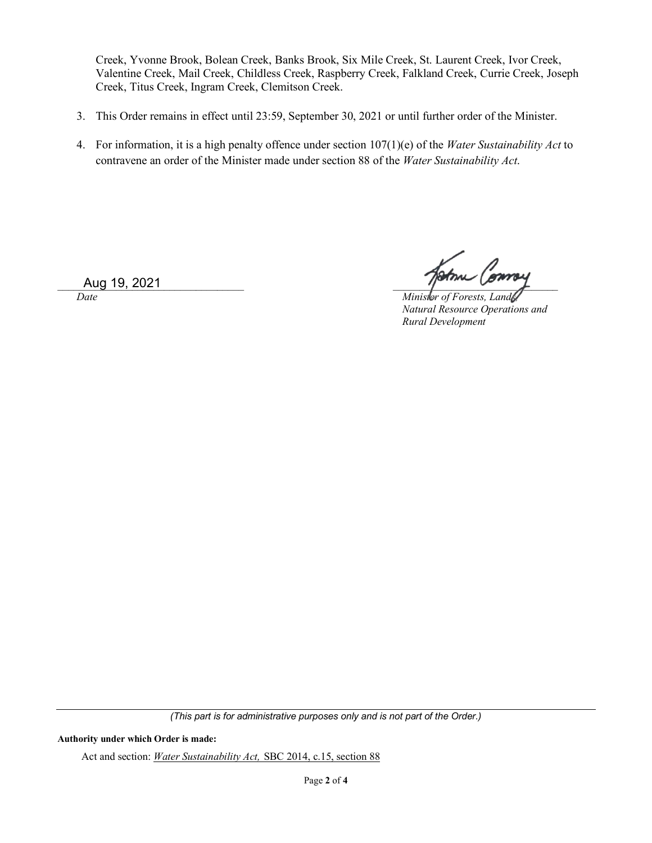Creek, Yvonne Brook, Bolean Creek, Banks Brook, Six Mile Creek, St. Laurent Creek, Ivor Creek, Valentine Creek, Mail Creek, Childless Creek, Raspberry Creek, Falkland Creek, Currie Creek, Joseph Creek, Titus Creek, Ingram Creek, Clemitson Creek.

- 3. This Order remains in effect until 23:59, September 30, 2021 or until further order of the Minister.
- 4. For information, it is a high penalty offence under section 107(1)(e) of the *Water Sustainability Act* to contravene an order of the Minister made under section 88 of the *Water Sustainability Act*.

 $\Delta$ ug 19, 2021

*Date Date Date Minister of Forests, Lands, <b><i>Minister of Forests, Lands Natural Resource Operations and Rural Development*

*(This part is for administrative purposes only and is not part of the Order.)*

#### **Authority under which Order is made:**

Act and section: *Water Sustainability Act,* SBC 2014, c.15, section 88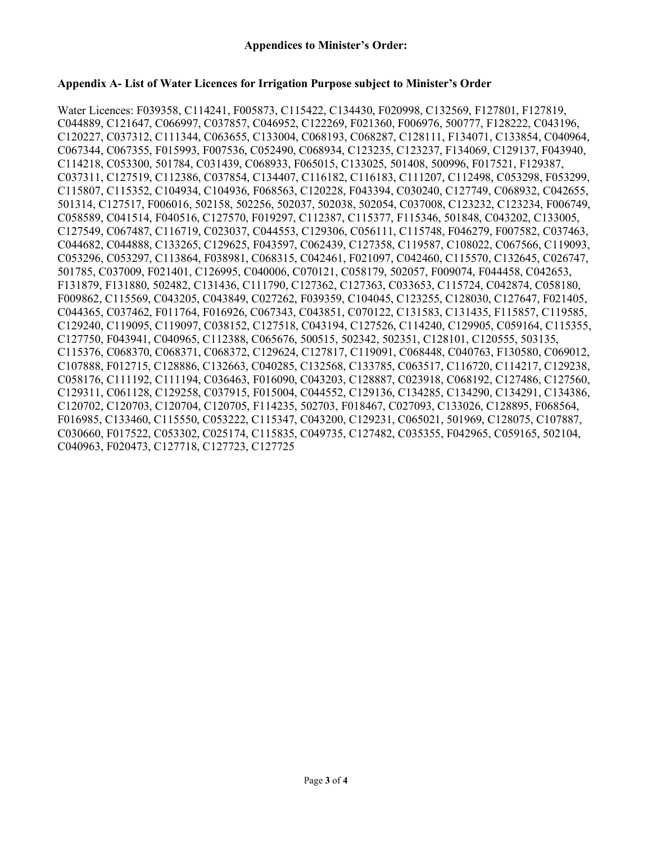#### **Appendix A- List of Water Licences for Irrigation Purpose subject to Minister's Order**

Water Licences: F039358, C114241, F005873, C115422, C134430, F020998, C132569, F127801, F127819, C044889, C121647, C066997, C037857, C046952, C122269, F021360, F006976, 500777, F128222, C043196, C120227, C037312, C111344, C063655, C133004, C068193, C068287, C128111, F134071, C133854, C040964, C067344, C067355, F015993, F007536, C052490, C068934, C123235, C123237, F134069, C129137, F043940, C114218, C053300, 501784, C031439, C068933, F065015, C133025, 501408, 500996, F017521, F129387, C037311, C127519, C112386, C037854, C134407, C116182, C116183, C111207, C112498, C053298, F053299, C115807, C115352, C104934, C104936, F068563, C120228, F043394, C030240, C127749, C068932, C042655, 501314, C127517, F006016, 502158, 502256, 502037, 502038, 502054, C037008, C123232, C123234, F006749, C058589, C041514, F040516, C127570, F019297, C112387, C115377, F115346, 501848, C043202, C133005, C127549, C067487, C116719, C023037, C044553, C129306, C056111, C115748, F046279, F007582, C037463, C044682, C044888, C133265, C129625, F043597, C062439, C127358, C119587, C108022, C067566, C119093, C053296, C053297, C113864, F038981, C068315, C042461, F021097, C042460, C115570, C132645, C026747, 501785, C037009, F021401, C126995, C040006, C070121, C058179, 502057, F009074, F044458, C042653, F131879, F131880, 502482, C131436, C111790, C127362, C127363, C033653, C115724, C042874, C058180, F009862, C115569, C043205, C043849, C027262, F039359, C104045, C123255, C128030, C127647, F021405, C044365, C037462, F011764, F016926, C067343, C043851, C070122, C131583, C131435, F115857, C119585, C129240, C119095, C119097, C038152, C127518, C043194, C127526, C114240, C129905, C059164, C115355, C127750, F043941, C040965, C112388, C065676, 500515, 502342, 502351, C128101, C120555, 503135, C115376, C068370, C068371, C068372, C129624, C127817, C119091, C068448, C040763, F130580, C069012, C107888, F012715, C128886, C132663, C040285, C132568, C133785, C063517, C116720, C114217, C129238, C058176, C111192, C111194, C036463, F016090, C043203, C128887, C023918, C068192, C127486, C127560, C129311, C061128, C129258, C037915, F015004, C044552, C129136, C134285, C134290, C134291, C134386, C120702, C120703, C120704, C120705, F114235, 502703, F018467, C027093, C133026, C128895, F068564, F016985, C133460, C115550, C053222, C115347, C043200, C129231, C065021, 501969, C128075, C107887, C030660, F017522, C053302, C025174, C115835, C049735, C127482, C035355, F042965, C059165, 502104, C040963, F020473, C127718, C127723, C127725